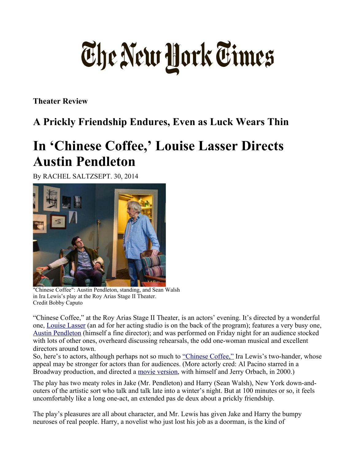## The New York Times

**Theater Review** 

## **A Prickly Friendship Endures, Even as Luck Wears Thin**

## **In 'Chinese Coffee,' Louise Lasser Directs Austin Pendleton**

By RACHEL SALTZSEPT. 30, 2014



"Chinese Coffee": Austin Pendleton, standing, and Sean Walsh in Ira Lewis's play at the Roy Arias Stage II Theater. Credit Bobby Caputo

"Chinese Coffee," at the Roy Arias Stage II Theater, is an actors' evening. It's directed by a wonderful one, [Louise Lasser](http://movies.nytimes.com/person/40680/Louise-Lasser?inline=nyt-per) (an ad for her acting studio is on the back of the program); features a very busy one, [Austin Pendleton](http://movies.nytimes.com/person/55888/Austin-Pendleton?inline=nyt-per) (himself a fine director); and was performed on Friday night for an audience stocked with lots of other ones, overheard discussing rehearsals, the odd one-woman musical and excellent directors around town.

So, here's to actors, although perhaps not so much to ["Chinese Coffee,"](http://www.chinesecoffee2014.com/) Ira Lewis's two-hander, whose appeal may be stronger for actors than for audiences. (More actorly cred: Al Pacino starred in a Broadway production, and directed a [movie version,](http://www.nytimes.com/movies/movie/220876/Chinese-Coffee/overview) with himself and Jerry Orbach, in 2000.)

The play has two meaty roles in Jake (Mr. Pendleton) and Harry (Sean Walsh), New York down-andouters of the artistic sort who talk and talk late into a winter's night. But at 100 minutes or so, it feels uncomfortably like a long one-act, an extended pas de deux about a prickly friendship.

The play's pleasures are all about character, and Mr. Lewis has given Jake and Harry the bumpy neuroses of real people. Harry, a novelist who just lost his job as a doorman, is the kind of